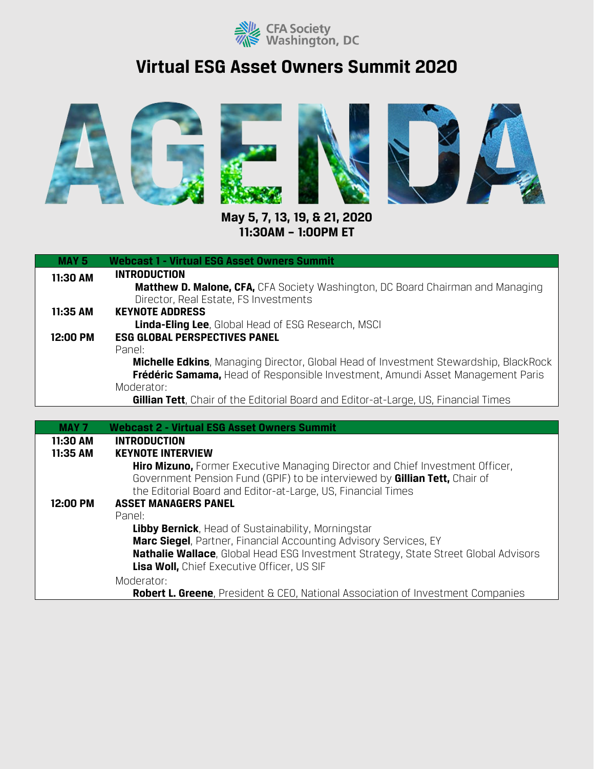

## **Virtual ESG Asset Owners Summit 2020**



**May 5, 7, 13, 19, & 21, 2020 11:30AM – 1:00PM ET**

| <b>MAY 5</b> | <b>Webcast 1 - Virtual ESG Asset Owners Summit</b>                                                                                                                                                                                         |
|--------------|--------------------------------------------------------------------------------------------------------------------------------------------------------------------------------------------------------------------------------------------|
| 11:30 AM     | <b>INTRODUCTION</b><br><b>Matthew D. Malone, CFA, CFA Society Washington, DC Board Chairman and Managing</b><br>Director, Real Estate, FS Investments                                                                                      |
| 11:35 AM     | <b>KEYNOTE ADDRESS</b>                                                                                                                                                                                                                     |
|              | <b>Linda-Eling Lee, Global Head of ESG Research, MSCI</b>                                                                                                                                                                                  |
| 12:00 PM     | <b>ESG GLOBAL PERSPECTIVES PANEL</b><br>Panel:                                                                                                                                                                                             |
|              | <b>Michelle Edkins</b> , Managing Director, Global Head of Investment Stewardship, BlackRock                                                                                                                                               |
|              | Frédéric Samama, Head of Responsible Investment, Amundi Asset Management Paris                                                                                                                                                             |
|              | Moderator:                                                                                                                                                                                                                                 |
|              | <b>Gillian Tett</b> , Chair of the Editorial Board and Editor-at-Large, US, Financial Times                                                                                                                                                |
|              |                                                                                                                                                                                                                                            |
| <b>MAY 7</b> | <b>Webcast 2 - Virtual ESG Asset Owners Summit</b>                                                                                                                                                                                         |
| 11:30 AM     | <b>INTRODUCTION</b>                                                                                                                                                                                                                        |
| 11:35 AM     | <b>KEYNOTE INTERVIEW</b>                                                                                                                                                                                                                   |
|              | <b>Hiro Mizuno, Former Executive Managing Director and Chief Investment Officer,</b><br>Government Pension Fund (GPIF) to be interviewed by <b>Gillian Tett</b> , Chair of<br>the Editorial Board and Editor-at-Large, US, Financial Times |
| 12:00 PM     | <b>ASSET MANAGERS PANEL</b>                                                                                                                                                                                                                |
|              | Panel:                                                                                                                                                                                                                                     |
|              | <b>Libby Bernick, Head of Sustainability, Morningstar</b>                                                                                                                                                                                  |
|              | Marc Siegel, Partner, Financial Accounting Advisory Services, EY                                                                                                                                                                           |
|              | <b>Nathalie Wallace</b> , Global Head ESG Investment Strategy, State Street Global Advisors                                                                                                                                                |
|              | <b>Lisa Woll, Chief Executive Officer, US SIF</b>                                                                                                                                                                                          |

Moderator:

**Robert L. Greene**, President & CEO, National Association of Investment Companies